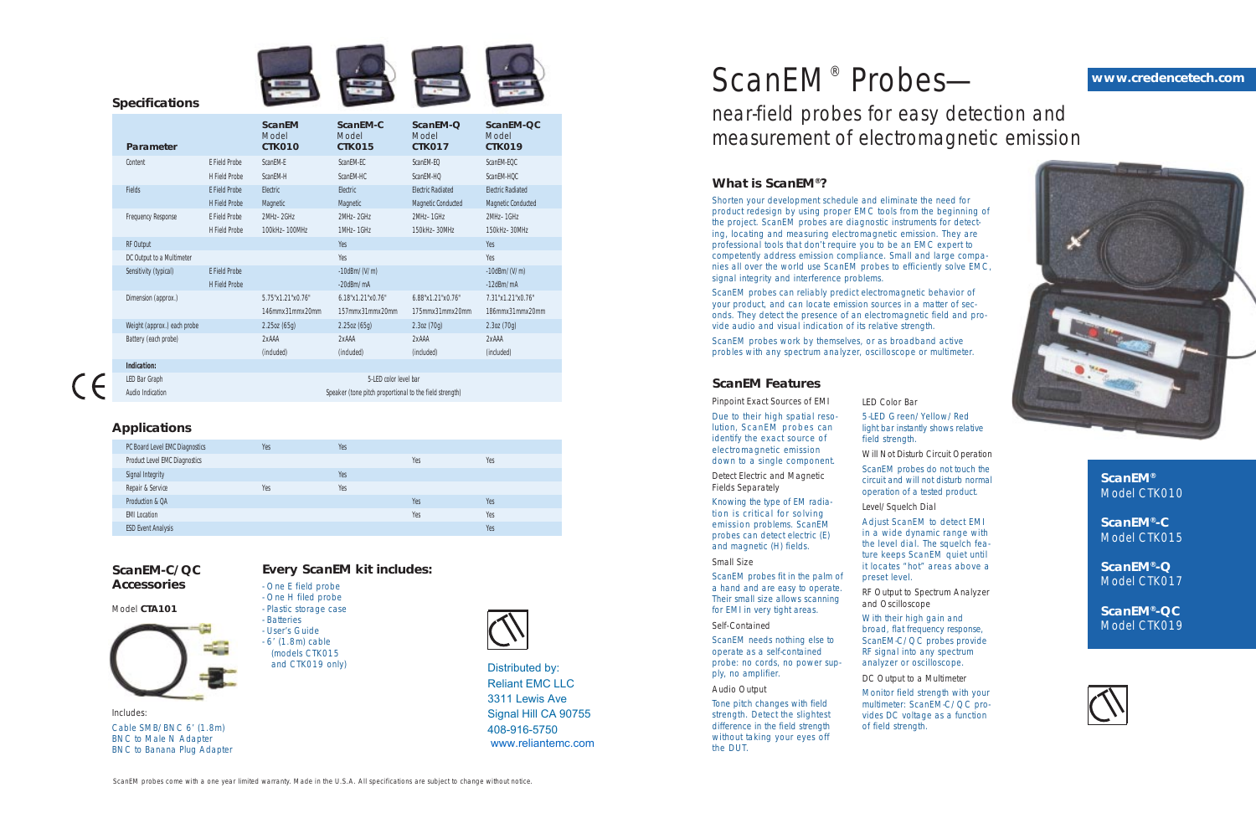**ScanEM®** Model CTK010

**ScanEM®-C** Model CTK015

**ScanEM®-Q** Model CTK017

**ScanEM®-QC** Model CTK019



# ScanEM<sup>®</sup> Probesnear-field probes for easy detection and measurement of electromagnetic emission

### **ScanEM-C/QC Accessories**

Model **CTA101**



Includes: Cable SMB/BNC 6' (1.8m) BNC to Male N Adapter BNC to Banana Plug Adapter

# **Every ScanEM kit includes:**

- One E field probe

- One H filed probe - Plastic storage case
- Batteries
- User's Guide
- 6' (1.8m) cable
- (models CTK015 and CTK019 only)



# **What is ScanEM®?**

Shorten your development schedule and eliminate the need for product redesign by using proper EMC tools from the beginning of the project. ScanEM probes are diagnostic instruments for detecting, locating and measuring electromagnetic emission. They are professional tools that don't require you to be an EMC expert to competently address emission compliance. Small and large companies all over the world use ScanEM probes to efficiently solve EMC, signal integrity and interference problems.

ScanEM probes can reliably predict electromagnetic behavior of your product, and can locate emission sources in a matter of seconds. They detect the presence of an electromagnetic field and provide audio and visual indication of its relative strength.

ScanEM probes work by themselves, or as broadband active probles with any spectrum analyzer, oscilloscope or multimeter.

# **ScanEM Features**

Pinpoint Exact Sources of EMI

Due to their high spatial resolution, ScanEM probes can identify the exact source of electromagnetic emission down to a single component.

| <b>Specifications</b>       |                                              |                                  |                                    |                                                       |                                                       |
|-----------------------------|----------------------------------------------|----------------------------------|------------------------------------|-------------------------------------------------------|-------------------------------------------------------|
| <b>Parameter</b>            |                                              | <b>ScanEM</b><br>Model<br>CTK010 | ScanEM-C<br>Model<br><b>CTK015</b> | ScanEM-O<br>Model<br><b>CTK017</b>                    | ScanEM-QC<br>Model<br>CTK019                          |
| Content                     | <b>E</b> Field Probe<br><b>H</b> Field Probe | ScanEM-E<br>ScanEM-H             | ScanEM-EC<br>ScanEM-HC             | ScanEM-EO<br>ScanEM-HQ                                | ScanEM-EOC<br>ScanEM-HQC                              |
| <b>Fields</b>               | <b>E</b> Field Probe<br><b>H</b> Field Probe | Electric<br>Magnetic             | Electric<br>Magnetic               | <b>Electric Radiated</b><br><b>Magnetic Conducted</b> | <b>Electric Radiated</b><br><b>Magnetic Conducted</b> |
| <b>Frequency Response</b>   | <b>E</b> Field Probe<br><b>H</b> Field Probe | 2MHz-2GHz<br>100kHz-100MHz       | 2MHz-2GHz<br>1MHz-1GHz             | 2MHz-1GHz<br>150kHz-30MHz                             | 2MHz-1GHz<br>150kHz-30MHz                             |
| <b>RF Output</b>            |                                              |                                  | Yes                                |                                                       | Yes                                                   |
| DC Output to a Multimeter   |                                              |                                  | Yes                                |                                                       | Yes                                                   |
| Sensitivity (typical)       | <b>E</b> Field Probe                         |                                  | $-10$ dBm/ $(V/m)$                 |                                                       | $-10$ dBm/(V/m)                                       |
|                             | <b>H</b> Field Probe                         |                                  | $-20$ dBm/mA                       |                                                       | $-12$ d $Bm/mA$                                       |
| Dimension (approx.)         |                                              | 5.75"x1.21"x0.76"                | 6.18"x1.21"x0.76"                  | 6.88"x1.21"x0.76"                                     | 7.31"x1.21"x0.76"                                     |
|                             |                                              | 146mmx31mmx20mm                  | 157mmx31mmx20mm                    | 175mmx31mmx20mm                                       | 186mmx31mmx20mm                                       |
| Weight (approx.) each probe |                                              | 2.25oz(65g)                      | 2.25oz(65g)                        | 2.30z(70q)                                            | 2.30z(70q)                                            |
| Battery (each probe)        |                                              | 2xAAA                            | 2xAAA                              | 2xAAA                                                 | 2xAAA                                                 |
|                             |                                              | (included)                       | (included)                         | (included)                                            | (included)                                            |

Detect Electric and Magnetic Fields Separately

Knowing the type of EM radiation is critical for solving emission problems. ScanEM probes can detect electric (E) and magnetic (H) fields.

### Small Size

ScanEM probes fit in the palm of a hand and are easy to operate. Their small size allows scanning for EMI in very tight areas.

Self-Contained

ScanEM needs nothing else to operate as a self-contained probe: no cords, no power supply, no amplifier.

### Audio Output

Tone pitch changes with field strength. Detect the slightest Signal Hill CA 90755 difference in the field strength without taking your eyes off the DUT.

**Indication:**

LED Bar Graph 5-LED color level bar

Audio Indication Speaker (tone pitch proportional to the field strength) Speaker (tone pitch proportional to the field strength)

| PC Board Level EMC Diagnostics       | Yes | Yes |     |     |
|--------------------------------------|-----|-----|-----|-----|
| <b>Product Level EMC Diagnostics</b> |     |     | Yes | Yes |
| Signal Integrity                     |     | Yes |     |     |
| Repair & Service                     | Yes | Yes |     |     |
| Production & QA                      |     |     | Yes | Yes |
| <b>EMI Location</b>                  |     |     | Yes | Yes |
| <b>ESD Event Analysis</b>            |     |     |     | Yes |
|                                      |     |     |     |     |

ScanEM probes come with a one year limited warranty. Made in the U.S.A. All specifications are subject to change without notice.

# **Applications**

LED Color Bar 5-LED Green/Yellow/Red light bar instantly shows relative field strength.

Will Not Disturb Circuit Operation ScanEM probes do not touch the circuit and will not disturb normal operation of a tested product.

Level/Squelch Dial

Adjust ScanEM to detect EMI in a wide dynamic range with the level dial. The squelch feature keeps ScanEM quiet until it locates "hot" areas above a preset level.

RF Output to Spectrum Analyzer and Oscilloscope

With their high gain and broad, flat frequency response, ScanEM-C/QC probes provide RF signal into any spectrum analyzer or oscilloscope.

DC Output to a Multimeter Monitor field strength with your multimeter: ScanEM-C/QC provides DC voltage as a function of field strength.

### **www.credencetech.com**



Distributed by: Reliant EMC LLC 3311 Lewis Ave 408-916-5750 www.reliantemc.com